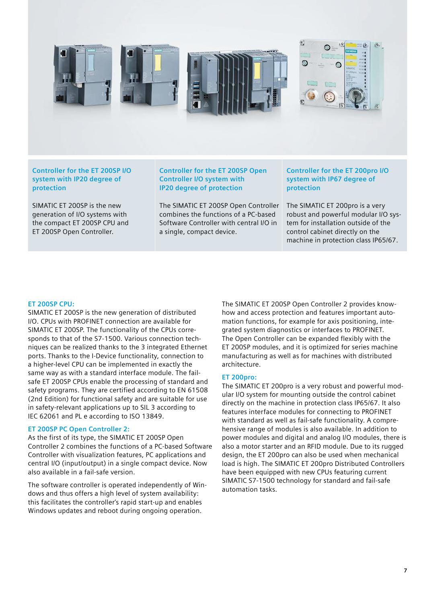

**Controller for the ET 200SP I/O system with IP20 degree of protection**

SIMATIC ET 200SP is the new generation of I/O systems with the compact ET 200SP CPU and ET 200SP Open Controller.

**Controller for the ET 200SP Open Controller I/O system with IP20 degree of protection**

The SIMATIC ET 200SP Open Controller combines the functions of a PC-based Software Controller with central I/O in a single, compact device.

**Controller for the ET 200pro I/O system with IP67 degree of protection**

The SIMATIC ET 200pro is a very robust and powerful modular I/O system for installation outside of the control cabinet directly on the machine in protection class IP65/67.

#### **ET 200SP CPU:**

SIMATIC ET 200SP is the new generation of distributed I/O. CPUs with PROFINET connection are available for SIMATIC ET 200SP. The functionality of the CPUs corresponds to that of the S7-1500. Various connection techniques can be realized thanks to the 3 integrated Ethernet ports. Thanks to the I-Device functionality, connection to a higher-level CPU can be implemented in exactly the same way as with a standard interface module. The failsafe ET 200SP CPUs enable the processing of standard and safety programs. They are certified according to EN 61508 (2nd Edition) for functional safety and are suitable for use in safety-relevant applications up to SIL 3 according to IEC 62061 and PL e according to ISO 13849.

#### **ET 200SP PC Open Controller 2:**

As the first of its type, the SIMATIC ET 200SP Open Controller 2 combines the functions of a PC-based Software Controller with visualization features, PC applications and central I/O (input/output) in a single compact device. Now also available in a fail-safe version.

The software controller is operated independently of Windows and thus offers a high level of system availability: this facilitates the controller's rapid start-up and enables Windows updates and reboot during ongoing operation.

The SIMATIC ET 200SP Open Controller 2 provides knowhow and access protection and features important automation functions, for example for axis positioning, integrated system diagnostics or interfaces to PROFINET. The Open Controller can be expanded flexibly with the ET 200SP modules, and it is optimized for series machine manufacturing as well as for machines with distributed architecture.

#### **ET 200pro:**

The SIMATIC ET 200pro is a very robust and powerful modular I/O system for mounting outside the control cabinet directly on the machine in protection class IP65/67. It also features interface modules for connecting to PROFINET with standard as well as fail-safe functionality. A comprehensive range of modules is also available. In addition to power modules and digital and analog I/O modules, there is also a motor starter and an RFID module. Due to its rugged design, the ET 200pro can also be used when mechanical load is high. The SIMATIC ET 200pro Distributed Controllers have been equipped with new CPUs featuring current SIMATIC S7-1500 technology for standard and fail-safe automation tasks.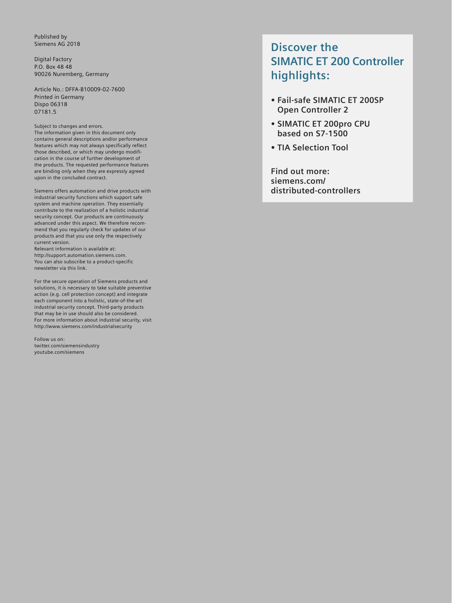Published by Siemens AG 2018

Digital Factory P.O. Box 48 48 90026 Nuremberg, Germany

Article No.: DFFA-B10009-02-7600 Printed in Germany Dispo 06318 07181.5

Subject to changes and errors. The information given in this document only contains general descriptions and/or performance features which may not always specifically reflect those described, or which may undergo modification in the course of further development of the products. The requested performance features are binding only when they are expressly agreed

upon in the concluded contract.

Siemens offers automation and drive products with industrial security functions which support safe system and machine operation. They essentially contribute to the realization of a holistic industrial security concept. Our products are continuously advanced under this aspect. We therefore recommend that you regularly check for updates of our products and that you use only the respectively current version.

Relevant information is available at: http://support.automation.siemens.com. You can also subscribe to a product-specific newsletter via this link.

For the secure operation of Siemens products and solutions, it is necessary to take suitable preventive action (e.g. cell protection concept) and integrate each component into a holistic, state-of-the-art industrial security concept. Third-party products that may be in use should also be considered. For more information about industrial security, visit http://www.siemens.com/industrialsecurity

Follow us on: twitter.com/siemensindustry youtube.com/siemens

### **Discover the SIMATIC ET 200 Controller highlights:**

- **• Fail-safe SIMATIC ET 200SP Open Controller 2**
- **• SIMATIC ET 200pro CPU based on S7-1500**
- **• TIA Selection Tool**

**Find out more: siemens.com/ distributed-controllers**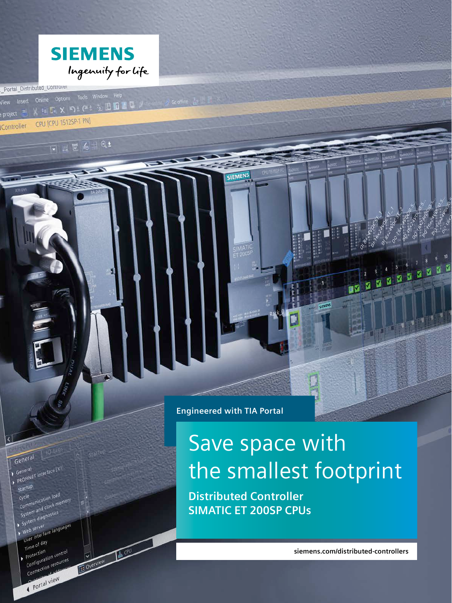

View Insert Online Options Tools Window Help<br>View Insert Online Options Tools Window Help X 這回 X つミー 空田田田県メ CPU [CPU 1512SP-1 PN]

Portal\_Distributed\_Controlle

Light

General<br>PROFINET interface [X1]

State<br>Cycle<br>Communication load Cycle<br>Communication load<br>System and clock memory System and clock."<br>System diagnostics<br>System diagnostics<br>In Server Lang

System diagnostic<br>Web server<br>User interface languages<br>User interface languages

Protective ation contracts<br>Configuration resources

Portal view

General

Startup

 $\rightarrow$  System<br> $\rightarrow$  Web server

User inter-<br>Time of day Time of<br>Protection Time of<br>Protection<br>Configuration resources startup

Coverview M. CPU

 $p$  project

Controller

**Engineered with TIA Portal**

SIEMENS

# Save space with the smallest footprint

**Distributed Controller SIMATIC ET 200SP CPUs**

**siemens.com/distributed-controllers**

1130000

ø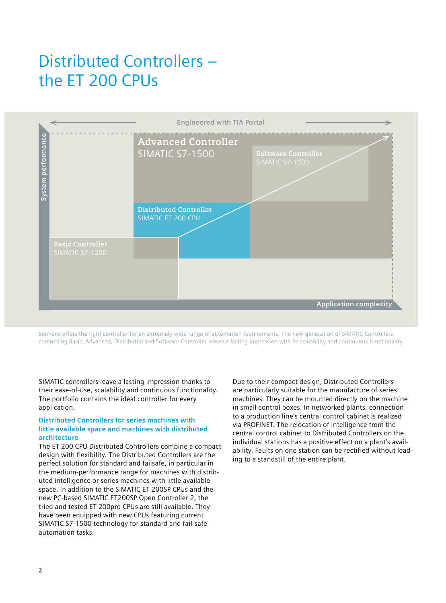## Distributed Controllers – the ET 200 CPUs



Siemens offers the right controller for an extremely wide range of automation requirements. The new generation of SIMATIC Controllers comprising Basic, Advanced, Distributed and Software Controller leaves a lasting impression with its scalability and continuous functionality.

SIMATIC controllers leave a lasting impression thanks to their ease-of-use, scalability and continuous functionality. The portfolio contains the ideal controller for every application.

#### **Distributed Controllers for series machines with little available space and machines with distributed architecture**

The ET 200 CPU Distributed Controllers combine a compact design with flexibility. The Distributed Controllers are the perfect solution for standard and failsafe, in particular in the medium-performance range for machines with distributed intelligence or series machines with little available space. In addition to the SIMATIC ET 200SP CPUs and the new PC-based SIMATIC ET200SP Open Controller 2, the tried and tested ET 200pro CPUs are still available. They have been equipped with new CPUs featuring current SIMATIC S7-1500 technology for standard and fail-safe automation tasks.

Due to their compact design, Distributed Controllers are particularly suitable for the manufacture of series machines. They can be mounted directly on the machine in small control boxes. In networked plants, connection to a production line's central control cabinet is realized via PROFINET. The relocation of intelligence from the central control cabinet to Distributed Controllers on the individual stations has a positive effect on a plant's availability. Faults on one station can be rectified without leading to a standstill of the entire plant.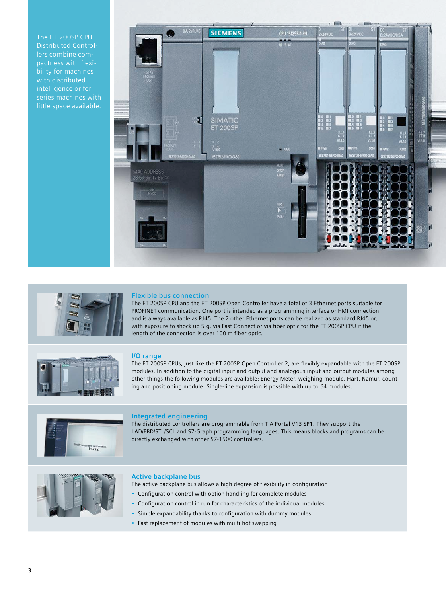The ET 200SP CPU Distributed Controllers combine compactness with flexibility for machines with distributed intelligence or for series machines with little space available.





#### **Flexible bus connection**

The ET 200SP CPU and the ET 200SP Open Controller have a total of 3 Ethernet ports suitable for PROFINET communication. One port is intended as a programming interface or HMI connection and is always available as RJ45. The 2 other Ethernet ports can be realized as standard RJ45 or, with exposure to shock up 5 g, via Fast Connect or via fiber optic for the ET 200SP CPU if the length of the connection is over 100 m fiber optic.



#### **I/O range**

The ET 200SP CPUs, just like the ET 200SP Open Controller 2, are flexibly expandable with the ET 200SP modules. In addition to the digital input and output and analogous input and output modules among other things the following modules are available: Energy Meter, weighing module, Hart, Namur, counting and positioning module. Single-line expansion is possible with up to 64 modules.



#### **Integrated engineering**

The distributed controllers are programmable from TIA Portal V13 SP1. They support the LAD/FBD/STL/SCL and S7-Graph programming languages. This means blocks and programs can be directly exchanged with other S7-1500 controllers.



#### **Active backplane bus**

The active backplane bus allows a high degree of flexibility in configuration

- Configuration control with option handling for complete modules
- Configuration control in run for characteristics of the individual modules
- Simple expandability thanks to configuration with dummy modules
- Fast replacement of modules with multi hot swapping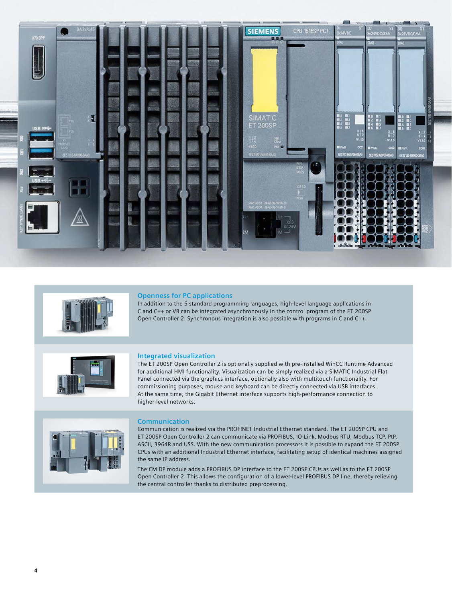



#### **Openness for PC applications**

In addition to the 5 standard programming languages, high-level language applications in C and C++ or VB can be integrated asynchronously in the control program of the ET 200SP Open Controller 2. Synchronous integration is also possible with programs in C and C++.



#### **Integrated visualization**

The ET 200SP Open Controller 2 is optionally supplied with pre-installed WinCC Runtime Advanced for additional HMI functionality. Visualization can be simply realized via a SIMATIC Industrial Flat Panel connected via the graphics interface, optionally also with multitouch functionality. For commissioning purposes, mouse and keyboard can be directly connected via USB interfaces. At the same time, the Gigabit Ethernet interface supports high-performance connection to higher-level networks.



#### **Communication**

Communication is realized via the PROFINET Industrial Ethernet standard. The ET 200SP CPU and ET 200SP Open Controller 2 can communicate via PROFIBUS, IO-Link, Modbus RTU, Modbus TCP, PtP, ASCII, 3964R and USS. With the new communication processors it is possible to expand the ET 200SP CPUs with an additional Industrial Ethernet interface, facilitating setup of identical machines assigned the same IP address.

The CM DP module adds a PROFIBUS DP interface to the ET 200SP CPUs as well as to the ET 200SP Open Controller 2. This allows the configuration of a lower-level PROFIBUS DP line, thereby relieving the central controller thanks to distributed preprocessing.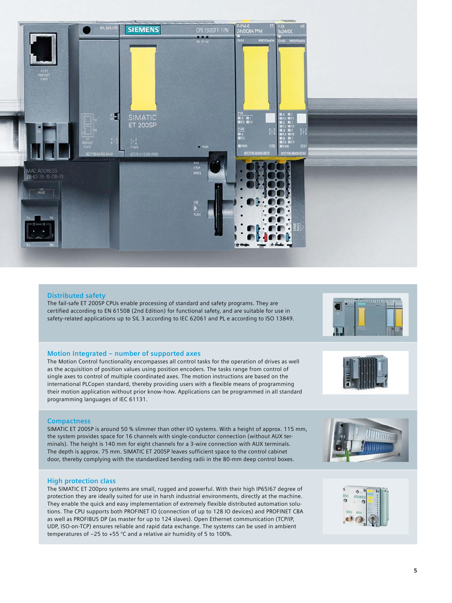

#### **Distributed safety**

The fail-safe ET 200SP CPUs enable processing of standard and safety programs. They are certified according to EN 61508 (2nd Edition) for functional safety, and are suitable for use in safety-related applications up to SIL 3 according to IEC 62061 and PL e according to ISO 13849.

#### **Motion Integrated – number of supported axes**

The Motion Control functionality encompasses all control tasks for the operation of drives as well as the acquisition of position values using position encoders. The tasks range from control of single axes to control of multiple coordinated axes. The motion instructions are based on the international PLCopen standard, thereby providing users with a flexible means of programming their motion application without prior know-how. Applications can be programmed in all standard programming languages of IEC 61131.

#### **Compactness**

SIMATIC ET 200SP is around 50 % slimmer than other I/O systems. With a height of approx. 115 mm, the system provides space for 16 channels with single-conductor connection (without AUX terminals). The height is 140 mm for eight channels for a 3-wire connection with AUX terminals. The depth is approx. 75 mm. SIMATIC ET 200SP leaves sufficient space to the control cabinet door, thereby complying with the standardized bending radii in the 80-mm deep control boxes.

#### **High protection class**

The SIMATIC ET 200pro systems are small, rugged and powerful. With their high IP65/67 degree of protection they are ideally suited for use in harsh industrial environments, directly at the machine. They enable the quick and easy implementation of extremely flexible distributed automation solutions. The CPU supports both PROFINET IO (connection of up to 128 IO devices) and PROFINET CBA as well as PROFIBUS DP (as master for up to 124 slaves). Open Ethernet communication (TCP/IP, UDP, ISO-on-TCP) ensures reliable and rapid data exchange. The systems can be used in ambient temperatures of –25 to +55 °C and a relative air humidity of 5 to 100%.